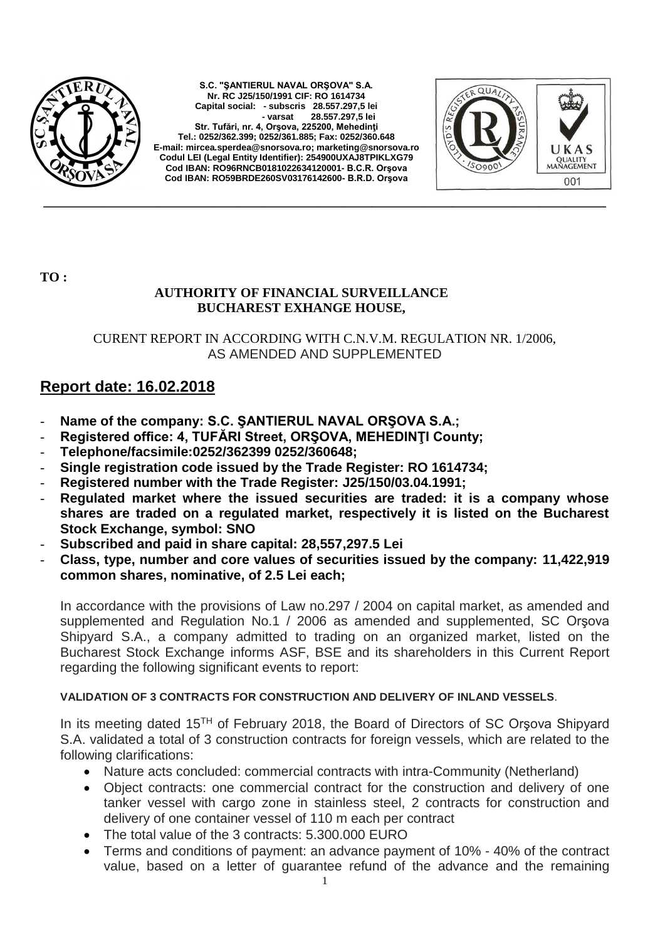

**S.C. "ŞANTIERUL NAVAL ORŞOVA" S.A. Nr. RC J25/150/1991 CIF: RO 1614734 Capital social: - subscris 28.557.297,5 lei - varsat 28.557.297,5 lei Str. Tufări, nr. 4, Orşova, 225200, Mehedinţi Tel.: 0252/362.399; 0252/361.885; Fax: 0252/360.648 E-mail[: mircea.sperdea@snorsova.ro;](mailto:mircea.sperdea@snorsova.ro) [marketing@snorsova.ro](mailto:marketing@snorsova.ro) Codul LEI (Legal Entity Identifier): 254900UXAJ8TPIKLXG79 Cod IBAN: RO96RNCB0181022634120001- B.C.R. Orşova Cod IBAN: RO59BRDE260SV03176142600- B.R.D. Orşova**



**TO :**

## **AUTHORITY OF FINANCIAL SURVEILLANCE BUCHAREST EXHANGE HOUSE,**

CURENT REPORT IN ACCORDING WITH C.N.V.M. REGULATION NR. 1/2006, AS AMENDED AND SUPPLEMENTED

**\_\_\_\_\_\_\_\_\_\_\_\_\_\_\_\_\_\_\_\_\_\_\_\_\_\_\_\_\_\_\_\_\_\_\_\_\_\_\_\_\_\_\_\_\_\_\_\_\_\_\_\_\_\_\_\_\_\_\_\_\_\_\_\_\_\_\_\_\_\_\_\_\_\_\_\_\_\_\_\_\_\_\_\_**

## **Report date: 16.02.2018**

- Name of the company: S.C. *ŞANTIERUL NAVAL ORŞOVA S.A.*;
- **Registered office: 4, TUFĂRI Street, ORŞOVA, MEHEDINŢI County;**
- **Telephone/facsimile:0252/362399 0252/360648;**
- **Single registration code issued by the Trade Register: RO 1614734;**
- **Registered number with the Trade Register: J25/150/03.04.1991;**
- **Regulated market where the issued securities are traded: it is a company whose shares are traded on a regulated market, respectively it is listed on the Bucharest Stock Exchange, symbol: SNO**
- **Subscribed and paid in share capital: 28,557,297.5 Lei**
- **Class, type, number and core values of securities issued by the company: 11,422,919 common shares, nominative, of 2.5 Lei each;**

In accordance with the provisions of Law no.297 / 2004 on capital market, as amended and supplemented and Regulation No.1 / 2006 as amended and supplemented, SC Orşova Shipyard S.A., a company admitted to trading on an organized market, listed on the Bucharest Stock Exchange informs ASF, BSE and its shareholders in this Current Report regarding the following significant events to report:

## **VALIDATION OF 3 CONTRACTS FOR CONSTRUCTION AND DELIVERY OF INLAND VESSELS**.

In its meeting dated 15TH of February 2018, the Board of Directors of SC Orşova Shipyard S.A. validated a total of 3 construction contracts for foreign vessels, which are related to the following clarifications:

- Nature acts concluded: commercial contracts with intra-Community (Netherland)
- Object contracts: one commercial contract for the construction and delivery of one tanker vessel with cargo zone in stainless steel, 2 contracts for construction and delivery of one container vessel of 110 m each per contract
- The total value of the 3 contracts: 5.300.000 EURO
- Terms and conditions of payment: an advance payment of 10% 40% of the contract value, based on a letter of guarantee refund of the advance and the remaining